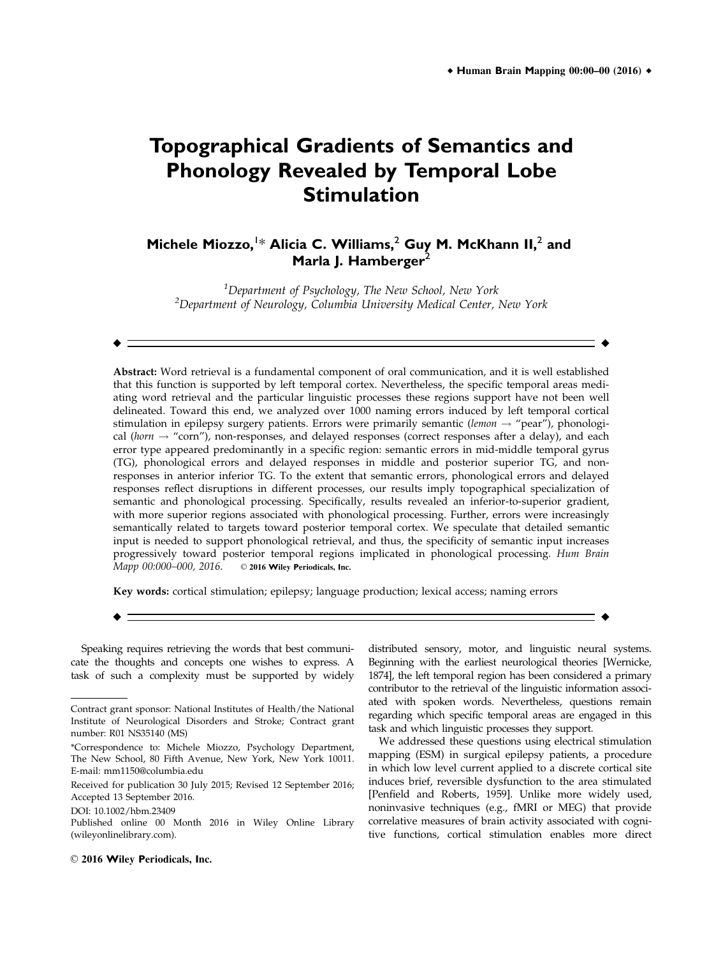# **Topographical Gradients of Semantics and Phonology Revealed by Temporal Lobe Stimulation**

**Michele Miozzo,**<sup>1</sup> \* **Alicia C. Williams,**<sup>2</sup> **Guy M. McKhann II,**<sup>2</sup> **and Marla J. Hamberger<sup>2</sup>** 

 $^1$ Department of Psychology, The New School, New York  $^2$ Department of Neurology, Columbia University Medical Center, New York

r r

Abstract: Word retrieval is a fundamental component of oral communication, and it is well established that this function is supported by left temporal cortex. Nevertheless, the specific temporal areas mediating word retrieval and the particular linguistic processes these regions support have not been well delineated. Toward this end, we analyzed over 1000 naming errors induced by left temporal cortical stimulation in epilepsy surgery patients. Errors were primarily semantic (lemon  $\rightarrow$  "pear"), phonological (horn  $\rightarrow$  "corn"), non-responses, and delayed responses (correct responses after a delay), and each error type appeared predominantly in a specific region: semantic errors in mid-middle temporal gyrus (TG), phonological errors and delayed responses in middle and posterior superior TG, and nonresponses in anterior inferior TG. To the extent that semantic errors, phonological errors and delayed responses reflect disruptions in different processes, our results imply topographical specialization of semantic and phonological processing. Specifically, results revealed an inferior-to-superior gradient, with more superior regions associated with phonological processing. Further, errors were increasingly semantically related to targets toward posterior temporal cortex. We speculate that detailed semantic input is needed to support phonological retrieval, and thus, the specificity of semantic input increases progressively toward posterior temporal regions implicated in phonological processing. Hum Brain Mapp 00:000-000, 2016. © 2016 Wiley Periodicals, Inc.

r r

Key words: cortical stimulation; epilepsy; language production; lexical access; naming errors

Speaking requires retrieving the words that best communicate the thoughts and concepts one wishes to express. A task of such a complexity must be supported by widely distributed sensory, motor, and linguistic neural systems. Beginning with the earliest neurological theories [Wernicke, 1874], the left temporal region has been considered a primary contributor to the retrieval of the linguistic information associated with spoken words. Nevertheless, questions remain regarding which specific temporal areas are engaged in this task and which linguistic processes they support.

We addressed these questions using electrical stimulation mapping (ESM) in surgical epilepsy patients, a procedure in which low level current applied to a discrete cortical site induces brief, reversible dysfunction to the area stimulated [Penfield and Roberts, 1959]. Unlike more widely used, noninvasive techniques (e.g., fMRI or MEG) that provide correlative measures of brain activity associated with cognitive functions, cortical stimulation enables more direct

Contract grant sponsor: National Institutes of Health/the National Institute of Neurological Disorders and Stroke; Contract grant number: R01 NS35140 (MS)

<sup>\*</sup>Correspondence to: Michele Miozzo, Psychology Department, The New School, 80 Fifth Avenue, New York, New York 10011. E-mail: mm1150@columbia.edu

Received for publication 30 July 2015; Revised 12 September 2016; Accepted 13 September 2016.

DOI: 10.1002/hbm.23409

Published online 00 Month 2016 in Wiley Online Library (wileyonlinelibrary.com).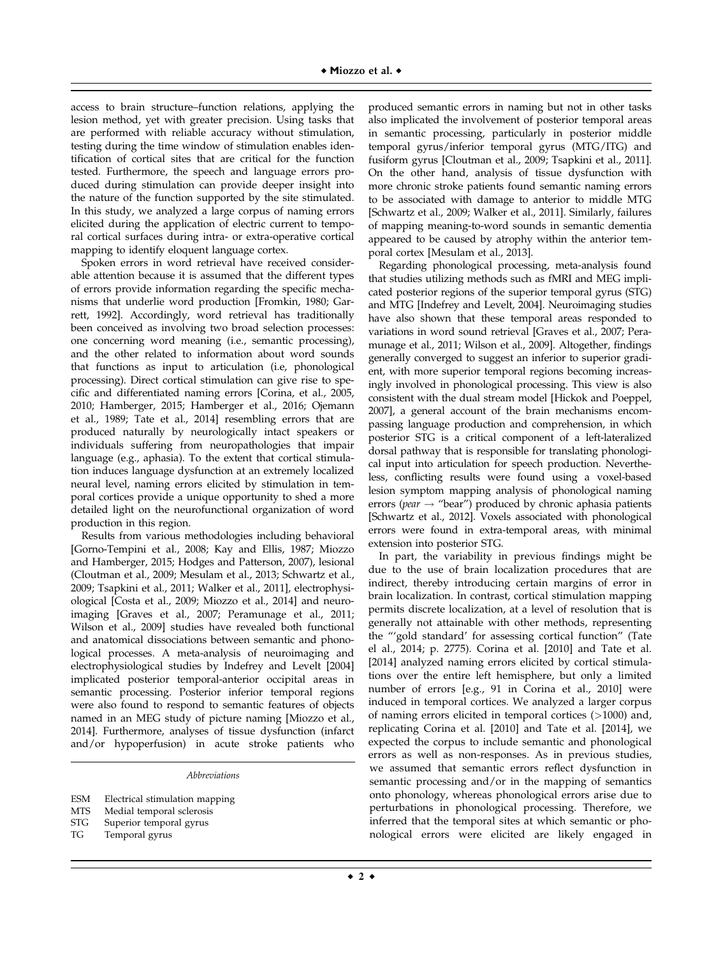access to brain structure–function relations, applying the lesion method, yet with greater precision. Using tasks that are performed with reliable accuracy without stimulation, testing during the time window of stimulation enables identification of cortical sites that are critical for the function tested. Furthermore, the speech and language errors produced during stimulation can provide deeper insight into the nature of the function supported by the site stimulated. In this study, we analyzed a large corpus of naming errors elicited during the application of electric current to temporal cortical surfaces during intra- or extra-operative cortical mapping to identify eloquent language cortex.

Spoken errors in word retrieval have received considerable attention because it is assumed that the different types of errors provide information regarding the specific mechanisms that underlie word production [Fromkin, 1980; Garrett, 1992]. Accordingly, word retrieval has traditionally been conceived as involving two broad selection processes: one concerning word meaning (i.e., semantic processing), and the other related to information about word sounds that functions as input to articulation (i.e, phonological processing). Direct cortical stimulation can give rise to specific and differentiated naming errors [Corina, et al., 2005, 2010; Hamberger, 2015; Hamberger et al., 2016; Ojemann et al., 1989; Tate et al., 2014] resembling errors that are produced naturally by neurologically intact speakers or individuals suffering from neuropathologies that impair language (e.g., aphasia). To the extent that cortical stimulation induces language dysfunction at an extremely localized neural level, naming errors elicited by stimulation in temporal cortices provide a unique opportunity to shed a more detailed light on the neurofunctional organization of word production in this region.

Results from various methodologies including behavioral [Gorno-Tempini et al., 2008; Kay and Ellis, 1987; Miozzo and Hamberger, 2015; Hodges and Patterson, 2007), lesional (Cloutman et al., 2009; Mesulam et al., 2013; Schwartz et al., 2009; Tsapkini et al., 2011; Walker et al., 2011], electrophysiological [Costa et al., 2009; Miozzo et al., 2014] and neuroimaging [Graves et al., 2007; Peramunage et al., 2011; Wilson et al., 2009] studies have revealed both functional and anatomical dissociations between semantic and phonological processes. A meta-analysis of neuroimaging and electrophysiological studies by Indefrey and Levelt [2004] implicated posterior temporal-anterior occipital areas in semantic processing. Posterior inferior temporal regions were also found to respond to semantic features of objects named in an MEG study of picture naming [Miozzo et al., 2014]. Furthermore, analyses of tissue dysfunction (infarct and/or hypoperfusion) in acute stroke patients who

Abbreviations

- ESM Electrical stimulation mapping<br>MTS Medial temporal sclerosis
- Medial temporal sclerosis
- STG Superior temporal gyrus
- TG Temporal gyrus

produced semantic errors in naming but not in other tasks also implicated the involvement of posterior temporal areas in semantic processing, particularly in posterior middle temporal gyrus/inferior temporal gyrus (MTG/ITG) and fusiform gyrus [Cloutman et al., 2009; Tsapkini et al., 2011]. On the other hand, analysis of tissue dysfunction with more chronic stroke patients found semantic naming errors to be associated with damage to anterior to middle MTG [Schwartz et al., 2009; Walker et al., 2011]. Similarly, failures of mapping meaning-to-word sounds in semantic dementia appeared to be caused by atrophy within the anterior temporal cortex [Mesulam et al., 2013].

Regarding phonological processing, meta-analysis found that studies utilizing methods such as fMRI and MEG implicated posterior regions of the superior temporal gyrus (STG) and MTG [Indefrey and Levelt, 2004]. Neuroimaging studies have also shown that these temporal areas responded to variations in word sound retrieval [Graves et al., 2007; Peramunage et al., 2011; Wilson et al., 2009]. Altogether, findings generally converged to suggest an inferior to superior gradient, with more superior temporal regions becoming increasingly involved in phonological processing. This view is also consistent with the dual stream model [Hickok and Poeppel, 2007], a general account of the brain mechanisms encompassing language production and comprehension, in which posterior STG is a critical component of a left-lateralized dorsal pathway that is responsible for translating phonological input into articulation for speech production. Nevertheless, conflicting results were found using a voxel-based lesion symptom mapping analysis of phonological naming errors (pear  $\rightarrow$  "bear") produced by chronic aphasia patients [Schwartz et al., 2012]. Voxels associated with phonological errors were found in extra-temporal areas, with minimal extension into posterior STG.

In part, the variability in previous findings might be due to the use of brain localization procedures that are indirect, thereby introducing certain margins of error in brain localization. In contrast, cortical stimulation mapping permits discrete localization, at a level of resolution that is generally not attainable with other methods, representing the "'gold standard' for assessing cortical function" (Tate el al., 2014; p. 2775). Corina et al. [2010] and Tate et al. [2014] analyzed naming errors elicited by cortical stimulations over the entire left hemisphere, but only a limited number of errors [e.g., 91 in Corina et al., 2010] were induced in temporal cortices. We analyzed a larger corpus of naming errors elicited in temporal cortices (>1000) and, replicating Corina et al. [2010] and Tate et al. [2014], we expected the corpus to include semantic and phonological errors as well as non-responses. As in previous studies, we assumed that semantic errors reflect dysfunction in semantic processing and/or in the mapping of semantics onto phonology, whereas phonological errors arise due to perturbations in phonological processing. Therefore, we inferred that the temporal sites at which semantic or phonological errors were elicited are likely engaged in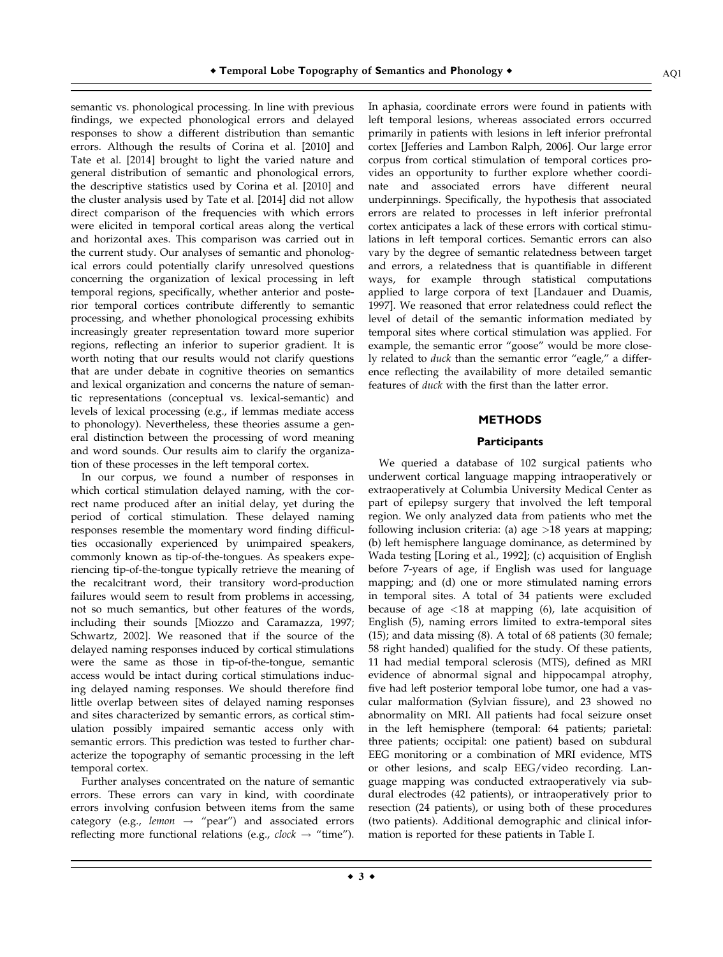semantic vs. phonological processing. In line with previous findings, we expected phonological errors and delayed responses to show a different distribution than semantic errors. Although the results of Corina et al. [2010] and Tate et al. [2014] brought to light the varied nature and general distribution of semantic and phonological errors, the descriptive statistics used by Corina et al. [2010] and the cluster analysis used by Tate et al. [2014] did not allow direct comparison of the frequencies with which errors were elicited in temporal cortical areas along the vertical and horizontal axes. This comparison was carried out in the current study. Our analyses of semantic and phonological errors could potentially clarify unresolved questions concerning the organization of lexical processing in left temporal regions, specifically, whether anterior and posterior temporal cortices contribute differently to semantic processing, and whether phonological processing exhibits increasingly greater representation toward more superior regions, reflecting an inferior to superior gradient. It is worth noting that our results would not clarify questions that are under debate in cognitive theories on semantics and lexical organization and concerns the nature of semantic representations (conceptual vs. lexical-semantic) and levels of lexical processing (e.g., if lemmas mediate access to phonology). Nevertheless, these theories assume a general distinction between the processing of word meaning and word sounds. Our results aim to clarify the organization of these processes in the left temporal cortex.

In our corpus, we found a number of responses in which cortical stimulation delayed naming, with the correct name produced after an initial delay, yet during the period of cortical stimulation. These delayed naming responses resemble the momentary word finding difficulties occasionally experienced by unimpaired speakers, commonly known as tip-of-the-tongues. As speakers experiencing tip-of-the-tongue typically retrieve the meaning of the recalcitrant word, their transitory word-production failures would seem to result from problems in accessing, not so much semantics, but other features of the words, including their sounds [Miozzo and Caramazza, 1997; Schwartz, 2002]. We reasoned that if the source of the delayed naming responses induced by cortical stimulations were the same as those in tip-of-the-tongue, semantic access would be intact during cortical stimulations inducing delayed naming responses. We should therefore find little overlap between sites of delayed naming responses and sites characterized by semantic errors, as cortical stimulation possibly impaired semantic access only with semantic errors. This prediction was tested to further characterize the topography of semantic processing in the left temporal cortex.

Further analyses concentrated on the nature of semantic errors. These errors can vary in kind, with coordinate errors involving confusion between items from the same category (e.g., lemon  $\rightarrow$  "pear") and associated errors reflecting more functional relations (e.g., *clock*  $\rightarrow$  "time"). In aphasia, coordinate errors were found in patients with left temporal lesions, whereas associated errors occurred primarily in patients with lesions in left inferior prefrontal cortex [Jefferies and Lambon Ralph, 2006]. Our large error corpus from cortical stimulation of temporal cortices provides an opportunity to further explore whether coordinate and associated errors have different neural underpinnings. Specifically, the hypothesis that associated errors are related to processes in left inferior prefrontal cortex anticipates a lack of these errors with cortical stimulations in left temporal cortices. Semantic errors can also vary by the degree of semantic relatedness between target and errors, a relatedness that is quantifiable in different ways, for example through statistical computations applied to large corpora of text [Landauer and Duamis, 1997]. We reasoned that error relatedness could reflect the level of detail of the semantic information mediated by temporal sites where cortical stimulation was applied. For example, the semantic error "goose" would be more closely related to duck than the semantic error "eagle," a difference reflecting the availability of more detailed semantic features of duck with the first than the latter error.

# **METHODS**

#### **Participants**

We queried a database of 102 surgical patients who underwent cortical language mapping intraoperatively or extraoperatively at Columbia University Medical Center as part of epilepsy surgery that involved the left temporal region. We only analyzed data from patients who met the following inclusion criteria: (a) age  $>18$  years at mapping; (b) left hemisphere language dominance, as determined by Wada testing [Loring et al., 1992]; (c) acquisition of English before 7-years of age, if English was used for language mapping; and (d) one or more stimulated naming errors in temporal sites. A total of 34 patients were excluded because of age  $\langle 18 \rangle$  at mapping (6), late acquisition of English (5), naming errors limited to extra-temporal sites (15); and data missing (8). A total of 68 patients (30 female; 58 right handed) qualified for the study. Of these patients, 11 had medial temporal sclerosis (MTS), defined as MRI evidence of abnormal signal and hippocampal atrophy, five had left posterior temporal lobe tumor, one had a vascular malformation (Sylvian fissure), and 23 showed no abnormality on MRI. All patients had focal seizure onset in the left hemisphere (temporal: 64 patients; parietal: three patients; occipital: one patient) based on subdural EEG monitoring or a combination of MRI evidence, MTS or other lesions, and scalp EEG/video recording. Language mapping was conducted extraoperatively via subdural electrodes (42 patients), or intraoperatively prior to resection (24 patients), or using both of these procedures (two patients). Additional demographic and clinical information is reported for these patients in Table I.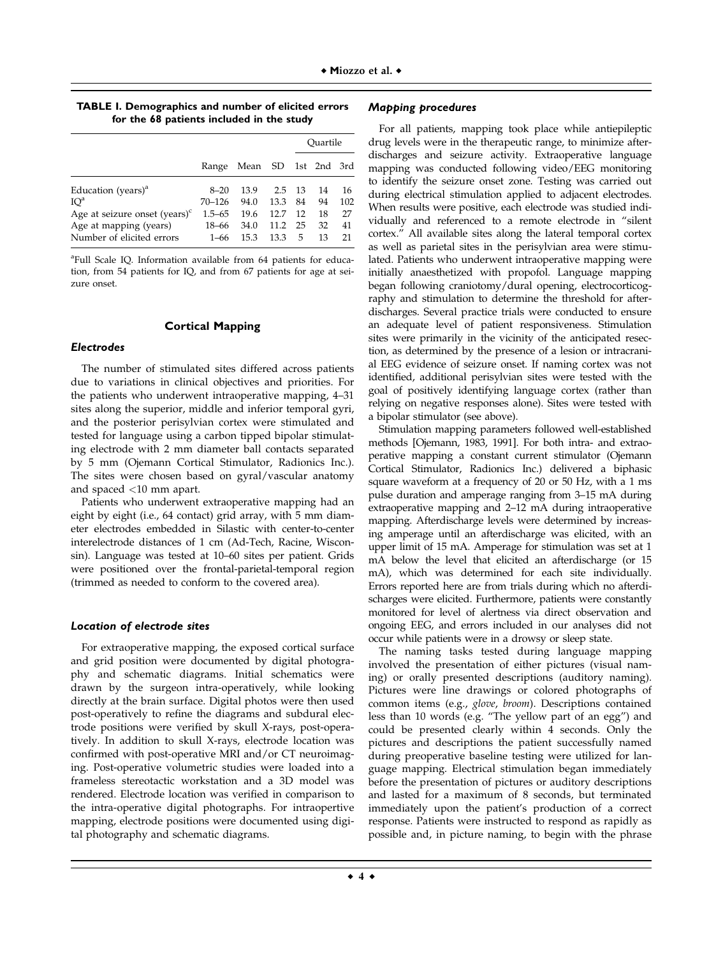| <b>TABLE I. Demographics and number of elicited errors</b> |  |
|------------------------------------------------------------|--|
| for the 68 patients included in the study                  |  |

|                                         |            |                           |               |     | Ouartile |     |
|-----------------------------------------|------------|---------------------------|---------------|-----|----------|-----|
|                                         |            | Range Mean SD 1st 2nd 3rd |               |     |          |     |
| Education (years) <sup>a</sup>          | $8 - 20$   | 13.9                      | $2.5^{\circ}$ | -13 | 14       | 16  |
| $IQ^a$                                  | $70 - 126$ | 94.0                      | 13.3          | 84  | 94       | 102 |
| Age at seizure onset (years) $\epsilon$ | $1.5 - 65$ | 19.6                      | 12.7          | 12  | 18       | 27  |
| Age at mapping (years)                  | 18–66      | 34.0                      | 11.2          | 25  | 32       | 41  |
| Number of elicited errors               | $1 - 66$   | 15.3                      | 13.3          | 5   | 13       | 21  |

<sup>a</sup>Full Scale IQ. Information available from 64 patients for education, from 54 patients for IQ, and from 67 patients for age at seizure onset.

# **Cortical Mapping**

#### Electrodes

The number of stimulated sites differed across patients due to variations in clinical objectives and priorities. For the patients who underwent intraoperative mapping, 4–31 sites along the superior, middle and inferior temporal gyri, and the posterior perisylvian cortex were stimulated and tested for language using a carbon tipped bipolar stimulating electrode with 2 mm diameter ball contacts separated by 5 mm (Ojemann Cortical Stimulator, Radionics Inc.). The sites were chosen based on gyral/vascular anatomy and spaced <10 mm apart.

Patients who underwent extraoperative mapping had an eight by eight (i.e., 64 contact) grid array, with 5 mm diameter electrodes embedded in Silastic with center-to-center interelectrode distances of 1 cm (Ad-Tech, Racine, Wisconsin). Language was tested at 10–60 sites per patient. Grids were positioned over the frontal-parietal-temporal region (trimmed as needed to conform to the covered area).

#### Location of electrode sites

For extraoperative mapping, the exposed cortical surface and grid position were documented by digital photography and schematic diagrams. Initial schematics were drawn by the surgeon intra-operatively, while looking directly at the brain surface. Digital photos were then used post-operatively to refine the diagrams and subdural electrode positions were verified by skull X-rays, post-operatively. In addition to skull X-rays, electrode location was confirmed with post-operative MRI and/or CT neuroimaging. Post-operative volumetric studies were loaded into a frameless stereotactic workstation and a 3D model was rendered. Electrode location was verified in comparison to the intra-operative digital photographs. For intraopertive mapping, electrode positions were documented using digital photography and schematic diagrams.

## Mapping procedures

For all patients, mapping took place while antiepileptic drug levels were in the therapeutic range, to minimize afterdischarges and seizure activity. Extraoperative language mapping was conducted following video/EEG monitoring to identify the seizure onset zone. Testing was carried out during electrical stimulation applied to adjacent electrodes. When results were positive, each electrode was studied individually and referenced to a remote electrode in "silent cortex." All available sites along the lateral temporal cortex as well as parietal sites in the perisylvian area were stimulated. Patients who underwent intraoperative mapping were initially anaesthetized with propofol. Language mapping began following craniotomy/dural opening, electrocorticography and stimulation to determine the threshold for afterdischarges. Several practice trials were conducted to ensure an adequate level of patient responsiveness. Stimulation sites were primarily in the vicinity of the anticipated resection, as determined by the presence of a lesion or intracranial EEG evidence of seizure onset. If naming cortex was not identified, additional perisylvian sites were tested with the goal of positively identifying language cortex (rather than relying on negative responses alone). Sites were tested with a bipolar stimulator (see above).

Stimulation mapping parameters followed well-established methods [Ojemann, 1983, 1991]. For both intra- and extraoperative mapping a constant current stimulator (Ojemann Cortical Stimulator, Radionics Inc.) delivered a biphasic square waveform at a frequency of 20 or 50 Hz, with a 1 ms pulse duration and amperage ranging from 3–15 mA during extraoperative mapping and 2–12 mA during intraoperative mapping. Afterdischarge levels were determined by increasing amperage until an afterdischarge was elicited, with an upper limit of 15 mA. Amperage for stimulation was set at 1 mA below the level that elicited an afterdischarge (or 15 mA), which was determined for each site individually. Errors reported here are from trials during which no afterdischarges were elicited. Furthermore, patients were constantly monitored for level of alertness via direct observation and ongoing EEG, and errors included in our analyses did not occur while patients were in a drowsy or sleep state.

The naming tasks tested during language mapping involved the presentation of either pictures (visual naming) or orally presented descriptions (auditory naming). Pictures were line drawings or colored photographs of common items (e.g., glove, broom). Descriptions contained less than 10 words (e.g. "The yellow part of an egg") and could be presented clearly within 4 seconds. Only the pictures and descriptions the patient successfully named during preoperative baseline testing were utilized for language mapping. Electrical stimulation began immediately before the presentation of pictures or auditory descriptions and lasted for a maximum of 8 seconds, but terminated immediately upon the patient's production of a correct response. Patients were instructed to respond as rapidly as possible and, in picture naming, to begin with the phrase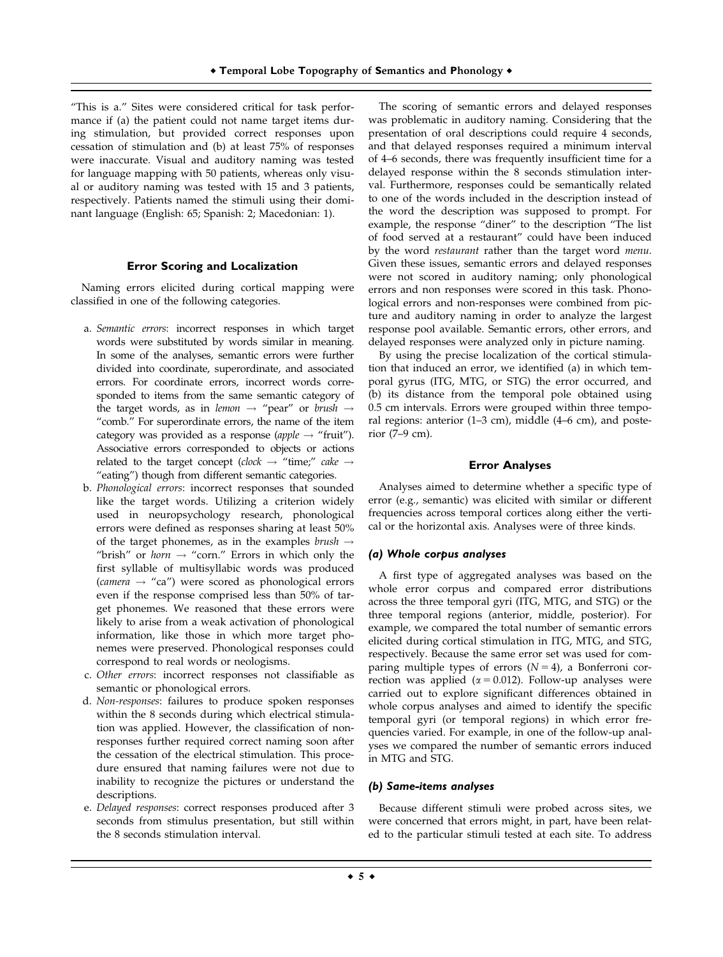"This is a." Sites were considered critical for task performance if (a) the patient could not name target items during stimulation, but provided correct responses upon cessation of stimulation and (b) at least 75% of responses were inaccurate. Visual and auditory naming was tested for language mapping with 50 patients, whereas only visual or auditory naming was tested with 15 and 3 patients, respectively. Patients named the stimuli using their dominant language (English: 65; Spanish: 2; Macedonian: 1).

#### **Error Scoring and Localization**

Naming errors elicited during cortical mapping were classified in one of the following categories.

- a. Semantic errors: incorrect responses in which target words were substituted by words similar in meaning. In some of the analyses, semantic errors were further divided into coordinate, superordinate, and associated errors. For coordinate errors, incorrect words corresponded to items from the same semantic category of the target words, as in lemon  $\rightarrow$  "pear" or brush  $\rightarrow$ "comb." For superordinate errors, the name of the item category was provided as a response (apple  $\rightarrow$  "fruit"). Associative errors corresponded to objects or actions related to the target concept (clock  $\rightarrow$  "time;" cake  $\rightarrow$ "eating") though from different semantic categories.
- b. Phonological errors: incorrect responses that sounded like the target words. Utilizing a criterion widely used in neuropsychology research, phonological errors were defined as responses sharing at least 50% of the target phonemes, as in the examples brush  $\rightarrow$ "brish" or *horn*  $\rightarrow$  "corn." Errors in which only the first syllable of multisyllabic words was produced (camera  $\rightarrow$  "ca") were scored as phonological errors even if the response comprised less than 50% of target phonemes. We reasoned that these errors were likely to arise from a weak activation of phonological information, like those in which more target phonemes were preserved. Phonological responses could correspond to real words or neologisms.
- c. Other errors: incorrect responses not classifiable as semantic or phonological errors.
- d. Non-responses: failures to produce spoken responses within the 8 seconds during which electrical stimulation was applied. However, the classification of nonresponses further required correct naming soon after the cessation of the electrical stimulation. This procedure ensured that naming failures were not due to inability to recognize the pictures or understand the descriptions.
- e. Delayed responses: correct responses produced after 3 seconds from stimulus presentation, but still within the 8 seconds stimulation interval.

The scoring of semantic errors and delayed responses was problematic in auditory naming. Considering that the presentation of oral descriptions could require 4 seconds, and that delayed responses required a minimum interval of 4–6 seconds, there was frequently insufficient time for a delayed response within the 8 seconds stimulation interval. Furthermore, responses could be semantically related to one of the words included in the description instead of the word the description was supposed to prompt. For example, the response "diner" to the description "The list of food served at a restaurant" could have been induced by the word restaurant rather than the target word menu. Given these issues, semantic errors and delayed responses were not scored in auditory naming; only phonological errors and non responses were scored in this task. Phonological errors and non-responses were combined from picture and auditory naming in order to analyze the largest response pool available. Semantic errors, other errors, and delayed responses were analyzed only in picture naming.

By using the precise localization of the cortical stimulation that induced an error, we identified (a) in which temporal gyrus (ITG, MTG, or STG) the error occurred, and (b) its distance from the temporal pole obtained using 0.5 cm intervals. Errors were grouped within three temporal regions: anterior (1–3 cm), middle (4–6 cm), and posterior (7–9 cm).

#### **Error Analyses**

Analyses aimed to determine whether a specific type of error (e.g., semantic) was elicited with similar or different frequencies across temporal cortices along either the vertical or the horizontal axis. Analyses were of three kinds.

#### (a) Whole corpus analyses

A first type of aggregated analyses was based on the whole error corpus and compared error distributions across the three temporal gyri (ITG, MTG, and STG) or the three temporal regions (anterior, middle, posterior). For example, we compared the total number of semantic errors elicited during cortical stimulation in ITG, MTG, and STG, respectively. Because the same error set was used for comparing multiple types of errors  $(N = 4)$ , a Bonferroni correction was applied ( $\alpha = 0.012$ ). Follow-up analyses were carried out to explore significant differences obtained in whole corpus analyses and aimed to identify the specific temporal gyri (or temporal regions) in which error frequencies varied. For example, in one of the follow-up analyses we compared the number of semantic errors induced in MTG and STG.

#### (b) Same-items analyses

Because different stimuli were probed across sites, we were concerned that errors might, in part, have been related to the particular stimuli tested at each site. To address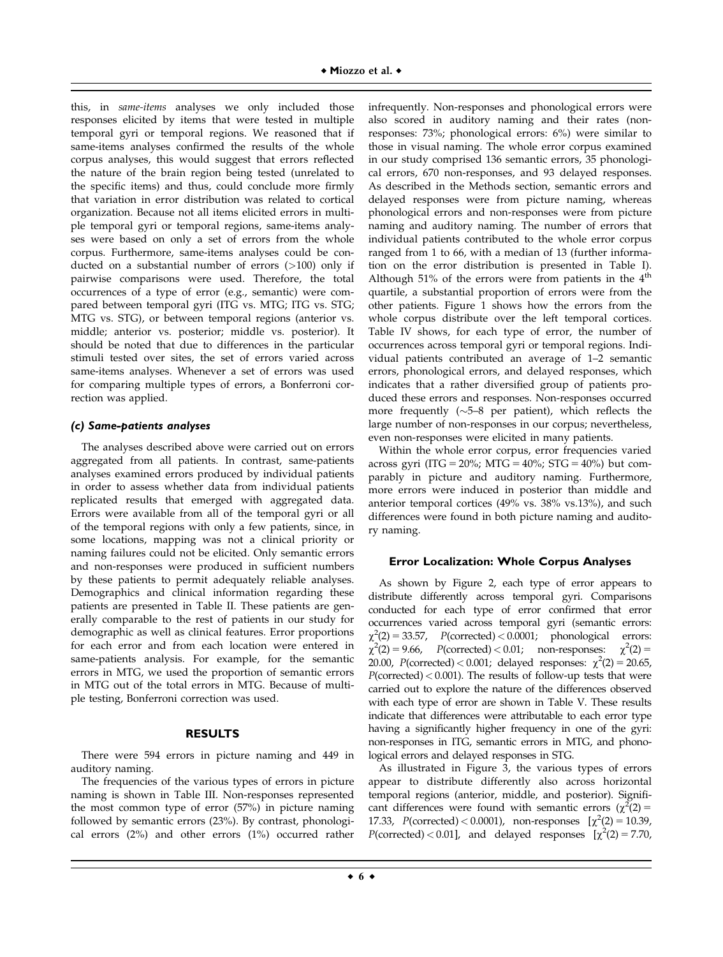this, in same-items analyses we only included those responses elicited by items that were tested in multiple temporal gyri or temporal regions. We reasoned that if same-items analyses confirmed the results of the whole corpus analyses, this would suggest that errors reflected the nature of the brain region being tested (unrelated to the specific items) and thus, could conclude more firmly that variation in error distribution was related to cortical organization. Because not all items elicited errors in multiple temporal gyri or temporal regions, same-items analyses were based on only a set of errors from the whole corpus. Furthermore, same-items analyses could be conducted on a substantial number of errors (>100) only if pairwise comparisons were used. Therefore, the total occurrences of a type of error (e.g., semantic) were compared between temporal gyri (ITG vs. MTG; ITG vs. STG; MTG vs. STG), or between temporal regions (anterior vs. middle; anterior vs. posterior; middle vs. posterior). It should be noted that due to differences in the particular stimuli tested over sites, the set of errors varied across same-items analyses. Whenever a set of errors was used for comparing multiple types of errors, a Bonferroni correction was applied.

## (c) Same-patients analyses

The analyses described above were carried out on errors aggregated from all patients. In contrast, same-patients analyses examined errors produced by individual patients in order to assess whether data from individual patients replicated results that emerged with aggregated data. Errors were available from all of the temporal gyri or all of the temporal regions with only a few patients, since, in some locations, mapping was not a clinical priority or naming failures could not be elicited. Only semantic errors and non-responses were produced in sufficient numbers by these patients to permit adequately reliable analyses. Demographics and clinical information regarding these patients are presented in Table II. These patients are generally comparable to the rest of patients in our study for demographic as well as clinical features. Error proportions for each error and from each location were entered in same-patients analysis. For example, for the semantic errors in MTG, we used the proportion of semantic errors in MTG out of the total errors in MTG. Because of multiple testing, Bonferroni correction was used.

#### **RESULTS**

There were 594 errors in picture naming and 449 in auditory naming.

The frequencies of the various types of errors in picture naming is shown in Table III. Non-responses represented the most common type of error (57%) in picture naming followed by semantic errors (23%). By contrast, phonological errors (2%) and other errors (1%) occurred rather infrequently. Non-responses and phonological errors were also scored in auditory naming and their rates (nonresponses: 73%; phonological errors: 6%) were similar to those in visual naming. The whole error corpus examined in our study comprised 136 semantic errors, 35 phonological errors, 670 non-responses, and 93 delayed responses. As described in the Methods section, semantic errors and delayed responses were from picture naming, whereas phonological errors and non-responses were from picture naming and auditory naming. The number of errors that individual patients contributed to the whole error corpus ranged from 1 to 66, with a median of 13 (further information on the error distribution is presented in Table I). Although 51% of the errors were from patients in the  $4<sup>th</sup>$ quartile, a substantial proportion of errors were from the other patients. Figure 1 shows how the errors from the whole corpus distribute over the left temporal cortices. Table IV shows, for each type of error, the number of occurrences across temporal gyri or temporal regions. Individual patients contributed an average of 1–2 semantic errors, phonological errors, and delayed responses, which indicates that a rather diversified group of patients produced these errors and responses. Non-responses occurred more frequently ( $\sim$ 5–8 per patient), which reflects the large number of non-responses in our corpus; nevertheless, even non-responses were elicited in many patients.

Within the whole error corpus, error frequencies varied across gyri (ITG =  $20\%$ ; MTG =  $40\%$ ; STG =  $40\%$ ) but comparably in picture and auditory naming. Furthermore, more errors were induced in posterior than middle and anterior temporal cortices (49% vs. 38% vs.13%), and such differences were found in both picture naming and auditory naming.

#### **Error Localization: Whole Corpus Analyses**

As shown by Figure 2, each type of error appears to distribute differently across temporal gyri. Comparisons conducted for each type of error confirmed that error occurrences varied across temporal gyri (semantic errors:  $\chi^2(2) = 33.57$ , P(corrected) < 0.0001; phonological errors:  $\chi^2(2) = 9.66$ ,  $P(\text{corrected}) < 0.01$ ; non-responses:  $\chi^2(2) =$ 20.00, P(corrected) < 0.001; delayed responses:  $\chi^2(2) = 20.65$ ,  $P$ (corrected) < 0.001). The results of follow-up tests that were carried out to explore the nature of the differences observed with each type of error are shown in Table V. These results indicate that differences were attributable to each error type having a significantly higher frequency in one of the gyri: non-responses in ITG, semantic errors in MTG, and phonological errors and delayed responses in STG.

As illustrated in Figure 3, the various types of errors appear to distribute differently also across horizontal temporal regions (anterior, middle, and posterior). Significant differences were found with semantic errors  $(\chi^2(2))$  = 17.33, P(corrected) < 0.0001), non-responses  $[\chi^2(2) = 10.39$ ,  $P(\text{corrected}) < 0.01$ ], and delayed responses  $[\chi^2(2) = 7.70]$ ,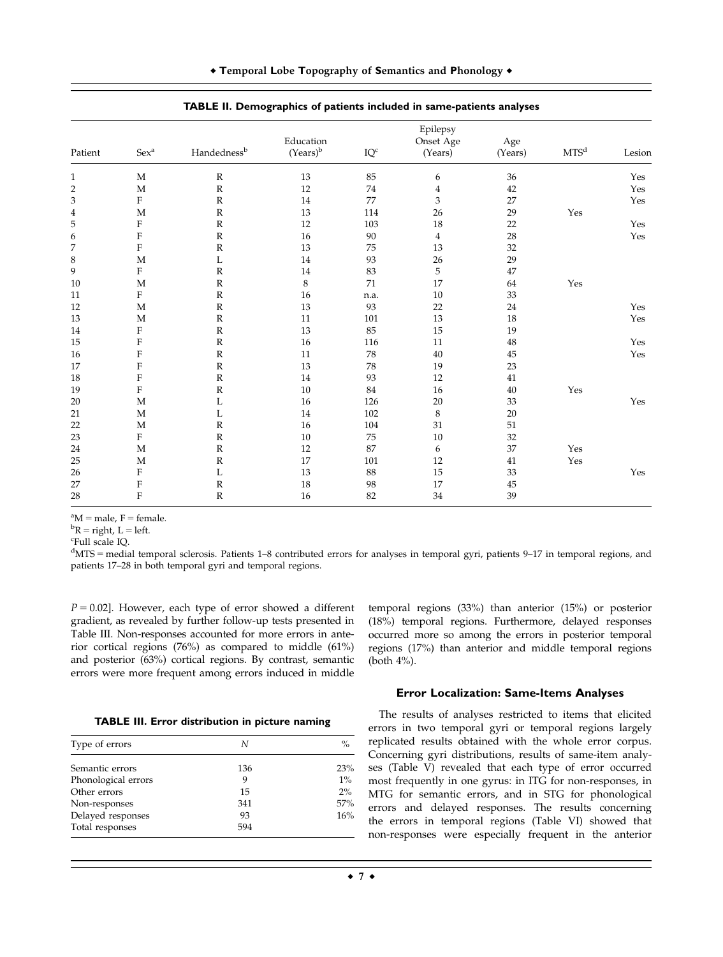| Patient        | Sex <sup>a</sup>          | Handednessb   | Education<br>$(Years)^{b}$ | $\mathrm{IQ}^{\mathrm{c}}$ | Epilepsy<br>Onset Age<br>(Years) | Age<br>(Years) | MTS <sup>d</sup> | Lesion |
|----------------|---------------------------|---------------|----------------------------|----------------------------|----------------------------------|----------------|------------------|--------|
| $\mathbf{1}$   | M                         | ${\mathbb R}$ | 13                         | 85                         | 6                                | 36             |                  | Yes    |
| $\overline{2}$ | $\mathbf M$               | ${\mathbb R}$ | 12                         | 74                         | $\overline{4}$                   | 42             |                  | Yes    |
| 3              | F                         | $\mathbb R$   | 14                         | 77                         | $\mathfrak{Z}$                   | 27             |                  | Yes    |
| 4              | M                         | ${\bf R}$     | 13                         | 114                        | 26                               | 29             | Yes              |        |
| 5              | F                         | $\mathbb{R}$  | 12                         | 103                        | 18                               | 22             |                  | Yes    |
| 6              | F                         | $\mathbb{R}$  | 16                         | 90                         | $\overline{4}$                   | 28             |                  | Yes    |
| 7              | F                         | $\mathbb{R}$  | 13                         | 75                         | 13                               | 32             |                  |        |
| 8              | M                         | L             | 14                         | 93                         | 26                               | 29             |                  |        |
| 9              | F                         | $\mathbb{R}$  | 14                         | 83                         | 5                                | 47             |                  |        |
| 10             | M                         | $\mathbb R$   | 8                          | 71                         | 17                               | 64             | Yes              |        |
| 11             | F                         | $\mathbb R$   | 16                         | n.a.                       | 10                               | 33             |                  |        |
| 12             | M                         | $\mathbb R$   | 13                         | 93                         | 22                               | 24             |                  | Yes    |
| 13             | M                         | $\mathbb{R}$  | 11                         | 101                        | 13                               | 18             |                  | Yes    |
| 14             | F                         | $\mathbb{R}$  | 13                         | 85                         | 15                               | 19             |                  |        |
| 15             | F                         | $\mathbb{R}$  | 16                         | 116                        | 11                               | 48             |                  | Yes    |
| 16             | ${\bf F}$                 | $\mathbb R$   | 11                         | 78                         | 40                               | 45             |                  | Yes    |
| 17             | ${\bf F}$                 | $\mathbb{R}$  | 13                         | ${\bf 78}$                 | 19                               | 23             |                  |        |
| 18             | ${\bf F}$                 | $\mathbb R$   | 14                         | 93                         | 12                               | 41             |                  |        |
| 19             | F                         | $\mathbb R$   | 10                         | 84                         | 16                               | 40             | Yes              |        |
| 20             | M                         | L             | 16                         | 126                        | 20                               | 33             |                  | Yes    |
| 21             | M                         | L             | 14                         | 102                        | 8                                | 20             |                  |        |
| 22             | M                         | $\mathbb{R}$  | 16                         | 104                        | 31                               | 51             |                  |        |
| 23             | F                         | $\mathbb R$   | 10                         | 75                         | 10                               | 32             |                  |        |
| 24             | M                         | $\mathbb{R}$  | 12                         | 87                         | 6                                | 37             | Yes              |        |
| 25             | M                         | ${\bf R}$     | 17                         | 101                        | 12                               | 41             | Yes              |        |
| 26             | F                         | L             | 13                         | $88\,$                     | 15                               | 33             |                  | Yes    |
| 27             | $\boldsymbol{\mathrm{F}}$ | ${\bf R}$     | 18                         | 98                         | 17                               | 45             |                  |        |
| 28             | F                         | $\mathbb{R}$  | 16                         | 82                         | 34                               | 39             |                  |        |

|  | <b>TABLE II. Demographics of patients included in same-patients analyses</b> |
|--|------------------------------------------------------------------------------|
|  |                                                                              |

 ${}^{a}$ M = male, F = female.<br><sup>b</sup>R = right, I = left.

 ${}^{\text{b}}\text{R}$  = right, L = left.

Full scale IQ.

<sup>d</sup>MTS = medial temporal sclerosis. Patients 1–8 contributed errors for analyses in temporal gyri, patients 9–17 in temporal regions, and patients 17–28 in both temporal gyri and temporal regions.

 $P = 0.02$ ]. However, each type of error showed a different gradient, as revealed by further follow-up tests presented in Table III. Non-responses accounted for more errors in anterior cortical regions (76%) as compared to middle (61%) and posterior (63%) cortical regions. By contrast, semantic errors were more frequent among errors induced in middle

| Type of errors      | N   | $\frac{0}{0}$ |
|---------------------|-----|---------------|
| Semantic errors     | 136 | 23%           |
| Phonological errors | 9   | $1\%$         |
| Other errors        | 15  | 2%            |
| Non-responses       | 341 | 57%           |
| Delayed responses   | 93  | 16%           |
| Total responses     | 594 |               |

temporal regions (33%) than anterior (15%) or posterior (18%) temporal regions. Furthermore, delayed responses occurred more so among the errors in posterior temporal regions (17%) than anterior and middle temporal regions (both 4%).

# **Error Localization: Same-Items Analyses**

The results of analyses restricted to items that elicited errors in two temporal gyri or temporal regions largely replicated results obtained with the whole error corpus. Concerning gyri distributions, results of same-item analyses (Table V) revealed that each type of error occurred most frequently in one gyrus: in ITG for non-responses, in MTG for semantic errors, and in STG for phonological errors and delayed responses. The results concerning the errors in temporal regions (Table VI) showed that non-responses were especially frequent in the anterior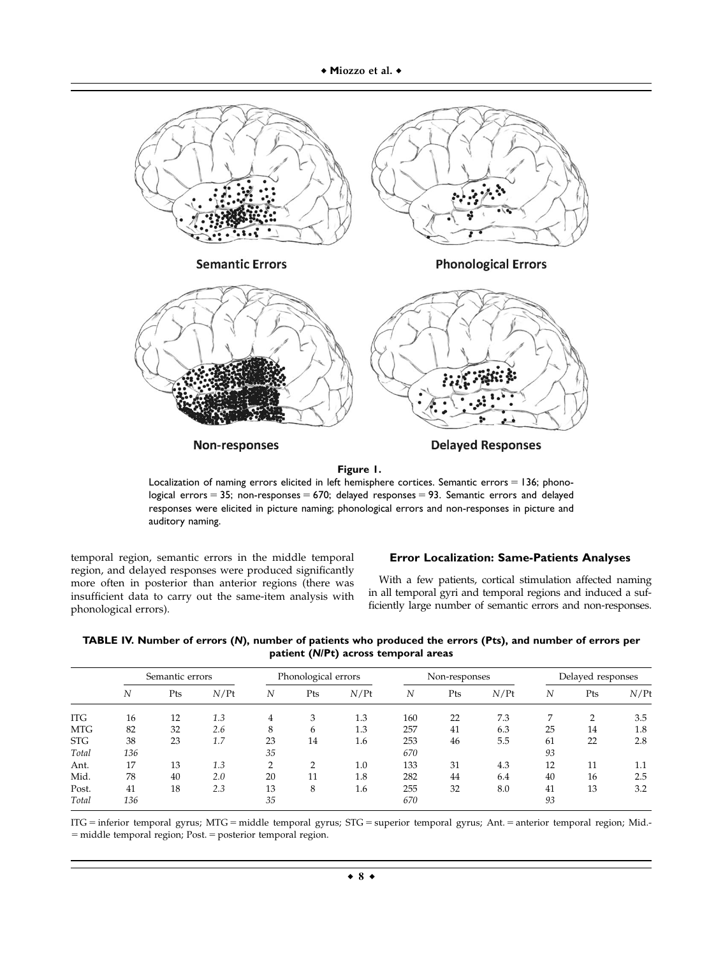

**Figure 1.**

Localization of naming errors elicited in left hemisphere cortices. Semantic errors  $= 136$ ; phonological errors = 35; non-responses = 670; delayed responses = 93. Semantic errors and delayed responses were elicited in picture naming; phonological errors and non-responses in picture and auditory naming.

temporal region, semantic errors in the middle temporal region, and delayed responses were produced significantly more often in posterior than anterior regions (there was insufficient data to carry out the same-item analysis with phonological errors).

# **Error Localization: Same-Patients Analyses**

With a few patients, cortical stimulation affected naming in all temporal gyri and temporal regions and induced a sufficiently large number of semantic errors and non-responses.

**TABLE IV. Number of errors (**N**), number of patients who produced the errors (Pts), and number of errors per patient (**N**/Pt) across temporal areas**

|            |     | Semantic errors |      | Phonological errors |     |      | Non-responses |     | Delayed responses |                |     |      |
|------------|-----|-----------------|------|---------------------|-----|------|---------------|-----|-------------------|----------------|-----|------|
|            | N   | Pts             | N/Pt | N                   | Pts | N/Pt | N             | Pts | N/Pt              | N              | Pts | N/Pt |
| <b>ITG</b> | 16  | 12              | 1.3  | 4                   | 3   | 1.3  | 160           | 22  | 7.3               | $\overline{ }$ | ◠   | 3.5  |
| <b>MTG</b> | 82  | 32              | 2.6  | 8                   | 6   | 1.3  | 257           | 41  | 6.3               | 25             | 14  | 1.8  |
| <b>STG</b> | 38  | 23              | 1.7  | 23                  | 14  | 1.6  | 253           | 46  | 5.5               | 61             | 22  | 2.8  |
| Total      | 136 |                 |      | 35                  |     |      | 670           |     |                   | 93             |     |      |
| Ant.       | 17  | 13              | 1.3  | $\mathcal{L}$       | റ   | 1.0  | 133           | 31  | 4.3               | 12             | 11  | 1.1  |
| Mid.       | 78  | 40              | 2.0  | 20                  | 11  | 1.8  | 282           | 44  | 6.4               | 40             | 16  | 2.5  |
| Post.      | 41  | 18              | 2.3  | 13                  | 8   | 1.6  | 255           | 32  | 8.0               | 41             | 13  | 3.2  |
| Total      | 136 |                 |      | 35                  |     |      | 670           |     |                   | 93             |     |      |

ITG = inferior temporal gyrus; MTG = middle temporal gyrus; STG = superior temporal gyrus; Ant. = anterior temporal region; Mid.-= middle temporal region; Post. = posterior temporal region.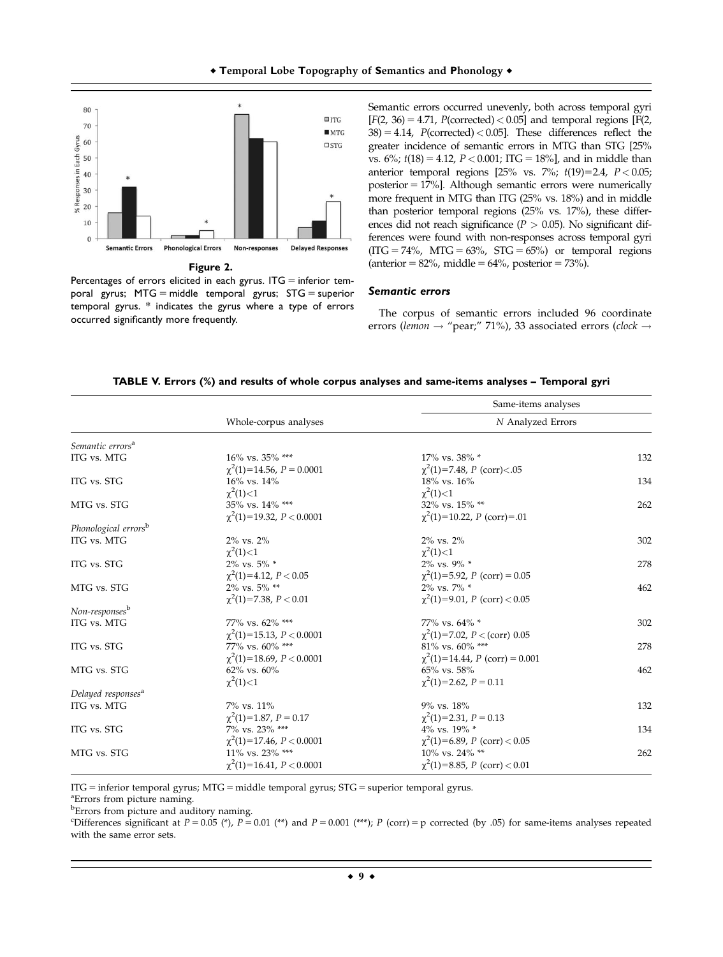

**Figure 2.**

Percentages of errors elicited in each gyrus.  $ITG =$  inferior temporal gyrus;  $MTG = mid$ dle temporal gyrus;  $STG = superior$ temporal gyrus. \* indicates the gyrus where a type of errors occurred significantly more frequently.

Semantic errors occurred unevenly, both across temporal gyri  $[F(2, 36) = 4.71, P(corrected) < 0.05]$  and temporal regions [F(2,  $38$ ) = 4.14, P(corrected) < 0.05]. These differences reflect the greater incidence of semantic errors in MTG than STG [25% vs.  $6\%$ ;  $t(18) = 4.12$ ,  $P < 0.001$ ; ITG = 18%], and in middle than anterior temporal regions [25% vs. 7%;  $t(19)=2.4$ ,  $P < 0.05$ ; posterior =  $17\%$ ]. Although semantic errors were numerically more frequent in MTG than ITG (25% vs. 18%) and in middle than posterior temporal regions (25% vs. 17%), these differences did not reach significance ( $P > 0.05$ ). No significant differences were found with non-responses across temporal gyri  $(ITG = 74\%, MTG = 63\%, STG = 65\%)$  or temporal regions (anterior =  $82\%$ , middle =  $64\%$ , posterior =  $73\%$ ).

#### Semantic errors

The corpus of semantic errors included 96 coordinate errors (lemon  $\rightarrow$  "pear;" 71%), 33 associated errors (clock  $\rightarrow$ 

|                              |                                                         | Same-items analyses                                 |     |  |  |
|------------------------------|---------------------------------------------------------|-----------------------------------------------------|-----|--|--|
|                              | Whole-corpus analyses                                   | N Analyzed Errors                                   |     |  |  |
| Semantic errors <sup>a</sup> |                                                         |                                                     |     |  |  |
| ITG vs. MTG                  | $16\%$ vs. $35\%$ ***<br>$\chi^2(1)$ =14.56, P = 0.0001 | $17\%$ vs. 38% *<br>$\chi^2(1)$ =7.48, P (corr)<.05 | 132 |  |  |
| ITG vs. STG                  | $16\%$ vs. $14\%$<br>$\chi^2(1)$ < 1                    | $18\%$ vs. $16\%$<br>$\chi^2(1)$ < 1                | 134 |  |  |
|                              |                                                         |                                                     |     |  |  |

| TABLE V. Errors (%) and results of whole corpus analyses and same-items analyses - Temporal gyri |  |  |  |  |  |  |  |  |  |
|--------------------------------------------------------------------------------------------------|--|--|--|--|--|--|--|--|--|
|--------------------------------------------------------------------------------------------------|--|--|--|--|--|--|--|--|--|

|                                  | $\gamma$ (1) = 14.56, $\gamma$ = 0.0001 | $\gamma$ (1) = /.48, P (corr) <.05   |     |
|----------------------------------|-----------------------------------------|--------------------------------------|-----|
| ITG vs. STG                      | $16\%$ vs. $14\%$                       | $18\%$ vs. $16\%$                    | 134 |
|                                  | $\chi^2(1)$ < 1                         | $\chi^2(1)$ < 1                      |     |
| MTG vs. STG                      | 35% vs. 14% ***                         | 32% vs. 15% **                       | 262 |
|                                  | $\chi^2(1)$ =19.32, P < 0.0001          | $\chi^2(1)$ =10.22, P (corr)=.01     |     |
| Phonological errors <sup>b</sup> |                                         |                                      |     |
| ITG vs. MTG                      | $2\%$ vs. $2\%$                         | $2\%$ vs. $2\%$                      | 302 |
|                                  | $\chi^2(1)$ < 1                         | $\chi^2(1)$ < 1                      |     |
| ITG vs. STG                      | $2\%$ vs. $5\%$ *                       | $2\%$ vs. $9\%$ *                    | 278 |
|                                  | $\chi^2(1) = 4.12, P < 0.05$            | $\chi^2(1)$ =5.92, P (corr) = 0.05   |     |
| MTG vs. STG                      | $2\%$ vs. 5% **                         | $2\%$ vs. $7\%$ *                    | 462 |
|                                  | $\gamma^2(1) = 7.38, P < 0.01$          | $\chi^2(1)$ =9.01, P (corr) < 0.05   |     |
| Non-responses <sup>b</sup>       |                                         |                                      |     |
| ITG vs. MTG                      | 77% vs. 62% ***                         | 77% vs. $64\%$ *                     | 302 |
|                                  | $\chi^2(1)$ =15.13, P < 0.0001          | $\chi^2(1)$ =7.02, P < (corr) 0.05   |     |
| ITG vs. STG                      | 77% vs. 60% ***                         | 81% vs. $60\%$ ***                   | 278 |
|                                  | $\chi^2(1)$ =18.69, P < 0.0001          | $\chi^2(1)$ =14.44, P (corr) = 0.001 |     |
| MTG vs. STG                      | $62\%$ vs. $60\%$                       | $65\%$ vs. 58%                       | 462 |
|                                  | $\chi^2(1)$ < 1                         | $\chi^2(1)=2.62, P=0.11$             |     |
| Delayed responses <sup>a</sup>   |                                         |                                      |     |
| ITG vs. MTG                      | 7% vs. 11%                              | $9\%$ vs. $18\%$                     | 132 |
|                                  | $\chi^2(1)=1.87, P=0.17$                | $\chi^2(1)=2.31, P=0.13$             |     |
| ITG vs. STG                      | $7\%$ vs. $23\%$ ***                    | 4% vs. 19% $*$                       | 134 |
|                                  | $\chi^2(1)$ =17.46, P < 0.0001          | $\chi^2(1)$ =6.89, P (corr) < 0.05   |     |
| MTG vs. STG                      | $11\%$ vs. $23\%$ ***                   | 10% vs. 24% **                       | 262 |
|                                  | $\chi^2(1)$ =16.41, P < 0.0001          | $\chi^2(1)$ =8.85, P (corr) < 0.01   |     |
|                                  |                                         |                                      |     |

 $ITG =$  inferior temporal gyrus;  $MTG =$  middle temporal gyrus;  $STG =$  superior temporal gyrus.

Errors from picture naming.

<sup>b</sup>Errors from picture and auditory naming.

"Differences significant at  $P = 0.05$  (\*),  $P = 0.01$  (\*\*) and  $P = 0.001$  (\*\*\*); P (corr) = p corrected (by .05) for same-items analyses repeated with the same error sets.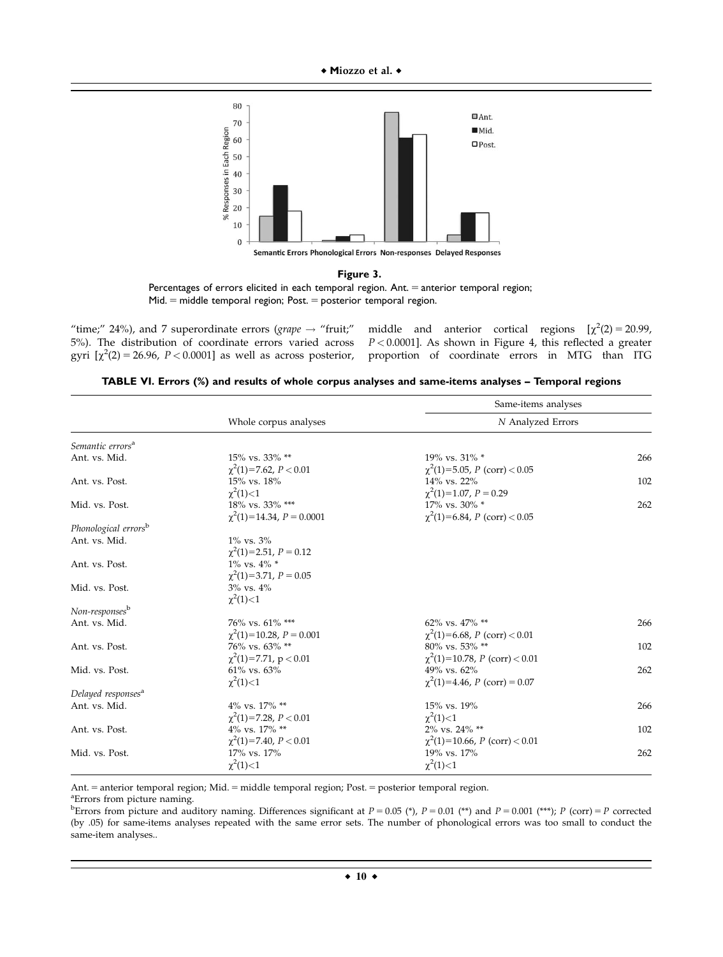

Semantic Errors Phonological Errors Non-responses Delayed Responses

**Figure 3.**

Percentages of errors elicited in each temporal region. Ant.  $=$  anterior temporal region;  $Mid = middle$  temporal region; Post. = posterior temporal region.

"time;" 24%), and 7 superordinate errors (grape  $\rightarrow$  "fruit;" 5%). The distribution of coordinate errors varied across gyri  $[\chi^2(2) = 26.96, P < 0.0001]$  as well as across posterior,

middle and anterior cortical regions  $[\chi^2(2) = 20.99]$ ,  $P < 0.0001$ ]. As shown in Figure 4, this reflected a greater proportion of coordinate errors in MTG than ITG

| TABLE VI. Errors (%) and results of whole corpus analyses and same-items analyses – Temporal regions |  |  |  |  |  |  |  |  |  |  |  |  |  |  |  |  |  |  |
|------------------------------------------------------------------------------------------------------|--|--|--|--|--|--|--|--|--|--|--|--|--|--|--|--|--|--|
|------------------------------------------------------------------------------------------------------|--|--|--|--|--|--|--|--|--|--|--|--|--|--|--|--|--|--|

|                                  |                                     | Same-items analyses                 |     |
|----------------------------------|-------------------------------------|-------------------------------------|-----|
|                                  | Whole corpus analyses               | N Analyzed Errors                   |     |
| Semantic errors <sup>a</sup>     |                                     |                                     |     |
| Ant. vs. Mid.                    | $15\%$ vs. 33% **                   | 19% vs. 31% *                       | 266 |
|                                  | $\gamma^2(1) = 7.62, P < 0.01$      | $\chi^2(1)$ =5.05, P (corr) < 0.05  |     |
| Ant. vs. Post.                   | 15% vs. 18%                         | 14% vs. 22%                         | 102 |
|                                  | $\chi^2(1)$ < 1                     | $\chi^2(1)=1.07, P=0.29$            |     |
| Mid. vs. Post.                   | 18% vs. 33% ***                     | $17\%$ vs. $30\%$ *                 | 262 |
|                                  | $\chi^2(1)$ =14.34, P = 0.0001      | $\chi^2(1)$ =6.84, P (corr) < 0.05  |     |
| Phonological errors <sup>b</sup> |                                     |                                     |     |
| Ant. vs. Mid.                    | $1\%$ vs. $3\%$                     |                                     |     |
|                                  | $\chi^2(1)=2.51, P=0.12$            |                                     |     |
| Ant. vs. Post.                   | $1\%$ vs. $4\%$ *                   |                                     |     |
|                                  | $\chi^2(1)=3.71, P=0.05$            |                                     |     |
| Mid. vs. Post.                   | $3\%$ vs. $4\%$                     |                                     |     |
|                                  | $\chi^2(1)$ < 1                     |                                     |     |
| Non-responsesb                   |                                     |                                     |     |
| Ant. vs. Mid.                    | 76% vs. 61% ***                     | 62% vs. $47\%$ **                   | 266 |
|                                  | $\gamma^2(1) = 10.28$ , $P = 0.001$ | $\chi^2(1)$ =6.68, P (corr) < 0.01  |     |
| Ant. vs. Post.                   | $76\%$ vs. $63\%$ **                | 80% vs. 53% **                      | 102 |
|                                  | $\chi^2(1) = 7.71$ , p < 0.01       | $\chi^2(1)$ =10.78, P (corr) < 0.01 |     |
| Mid. vs. Post.                   | $61\%$ vs. $63\%$                   | 49% vs. $62%$                       | 262 |
|                                  | $\chi^2(1)$ < 1                     | $\chi^2(1)$ =4.46, P (corr) = 0.07  |     |
| Delayed responses <sup>a</sup>   |                                     |                                     |     |
| Ant. vs. Mid.                    | 4% vs. $17\%$ **                    | 15% vs. 19%                         | 266 |
|                                  | $\chi^2(1) = 7.28, P < 0.01$        | $\chi^2(1)$ < 1                     |     |
| Ant. vs. Post.                   | $4\%$ vs. $17\%$ <sup>**</sup>      | 2% vs. 24% **                       | 102 |
|                                  | $\gamma^2(1) = 7.40, P < 0.01$      | $\chi^2(1)$ =10.66, P (corr) < 0.01 |     |
| Mid. vs. Post.                   | 17% vs. 17%                         | 19% vs. 17%                         | 262 |
|                                  | $\chi^2(1)$ < 1                     | $\chi^2(1)$ < 1                     |     |

Ant. = anterior temporal region; Mid. = middle temporal region; Post. = posterior temporal region.

Errors from picture naming.

<sup>b</sup>Errors from picture and auditory naming. Differences significant at  $P = 0.05$  (\*),  $P = 0.01$  (\*\*) and  $P = 0.001$  (\*\*\*); P (corr) = P corrected (by .05) for same-items analyses repeated with the same error sets. The number of phonological errors was too small to conduct the same-item analyses..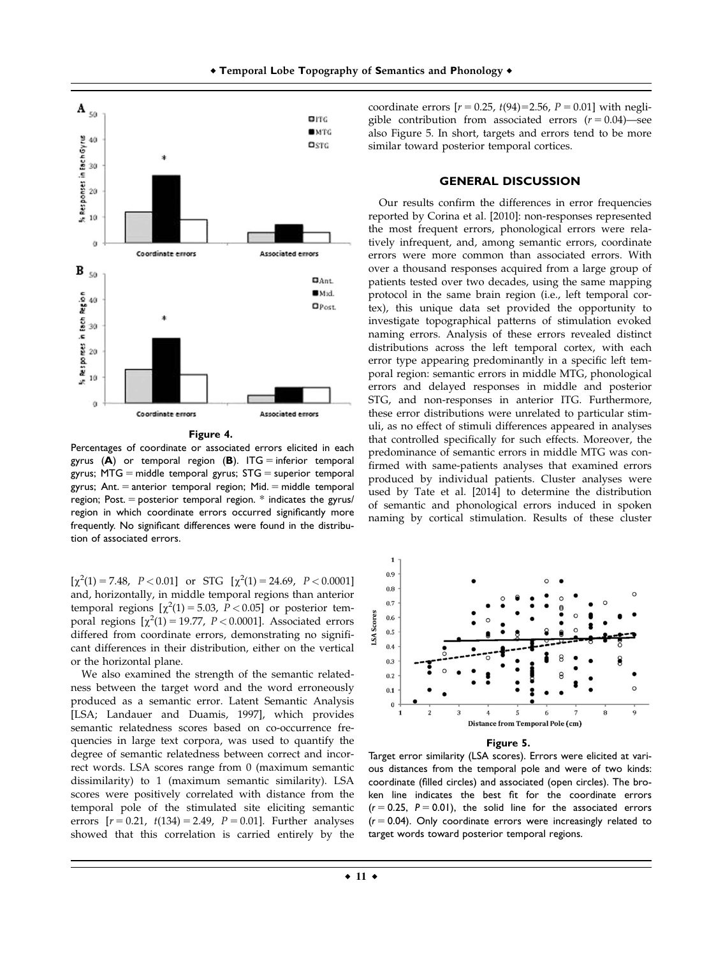

**Figure 4.**

Percentages of coordinate or associated errors elicited in each gyrus  $(A)$  or temporal region  $(B)$ . ITG = inferior temporal gyrus;  $MTG = mid$ dle temporal gyrus;  $STG = superior$  temporal gyrus; Ant.  $=$  anterior temporal region; Mid.  $=$  middle temporal region; Post.  $=$  posterior temporal region.  $*$  indicates the gyrus/ region in which coordinate errors occurred significantly more frequently. No significant differences were found in the distribution of associated errors.

 $[\chi^2(1) = 7.48, P < 0.01]$  or STG  $[\chi^2(1) = 24.69, P < 0.0001]$ and, horizontally, in middle temporal regions than anterior temporal regions  $[\chi^2(1) = 5.03, P < 0.05]$  or posterior temporal regions  $[\chi^2(1) = 19.77, P < 0.0001]$ . Associated errors differed from coordinate errors, demonstrating no significant differences in their distribution, either on the vertical or the horizontal plane.

We also examined the strength of the semantic relatedness between the target word and the word erroneously produced as a semantic error. Latent Semantic Analysis [LSA; Landauer and Duamis, 1997], which provides semantic relatedness scores based on co-occurrence frequencies in large text corpora, was used to quantify the degree of semantic relatedness between correct and incorrect words. LSA scores range from 0 (maximum semantic dissimilarity) to 1 (maximum semantic similarity). LSA scores were positively correlated with distance from the temporal pole of the stimulated site eliciting semantic errors  $[r = 0.21, t(134) = 2.49, P = 0.01]$ . Further analyses showed that this correlation is carried entirely by the

coordinate errors  $[r = 0.25, t(94)=2.56, P = 0.01]$  with negligible contribution from associated errors  $(r = 0.04)$ —see also Figure 5. In short, targets and errors tend to be more similar toward posterior temporal cortices.

## **GENERAL DISCUSSION**

Our results confirm the differences in error frequencies reported by Corina et al. [2010]: non-responses represented the most frequent errors, phonological errors were relatively infrequent, and, among semantic errors, coordinate errors were more common than associated errors. With over a thousand responses acquired from a large group of patients tested over two decades, using the same mapping protocol in the same brain region (i.e., left temporal cortex), this unique data set provided the opportunity to investigate topographical patterns of stimulation evoked naming errors. Analysis of these errors revealed distinct distributions across the left temporal cortex, with each error type appearing predominantly in a specific left temporal region: semantic errors in middle MTG, phonological errors and delayed responses in middle and posterior STG, and non-responses in anterior ITG. Furthermore, these error distributions were unrelated to particular stimuli, as no effect of stimuli differences appeared in analyses that controlled specifically for such effects. Moreover, the predominance of semantic errors in middle MTG was confirmed with same-patients analyses that examined errors produced by individual patients. Cluster analyses were used by Tate et al. [2014] to determine the distribution of semantic and phonological errors induced in spoken naming by cortical stimulation. Results of these cluster



#### **Figure 5.**

Target error similarity (LSA scores). Errors were elicited at various distances from the temporal pole and were of two kinds: coordinate (filled circles) and associated (open circles). The broken line indicates the best fit for the coordinate errors  $(r = 0.25, P = 0.01)$ , the solid line for the associated errors  $(r = 0.04)$ . Only coordinate errors were increasingly related to target words toward posterior temporal regions.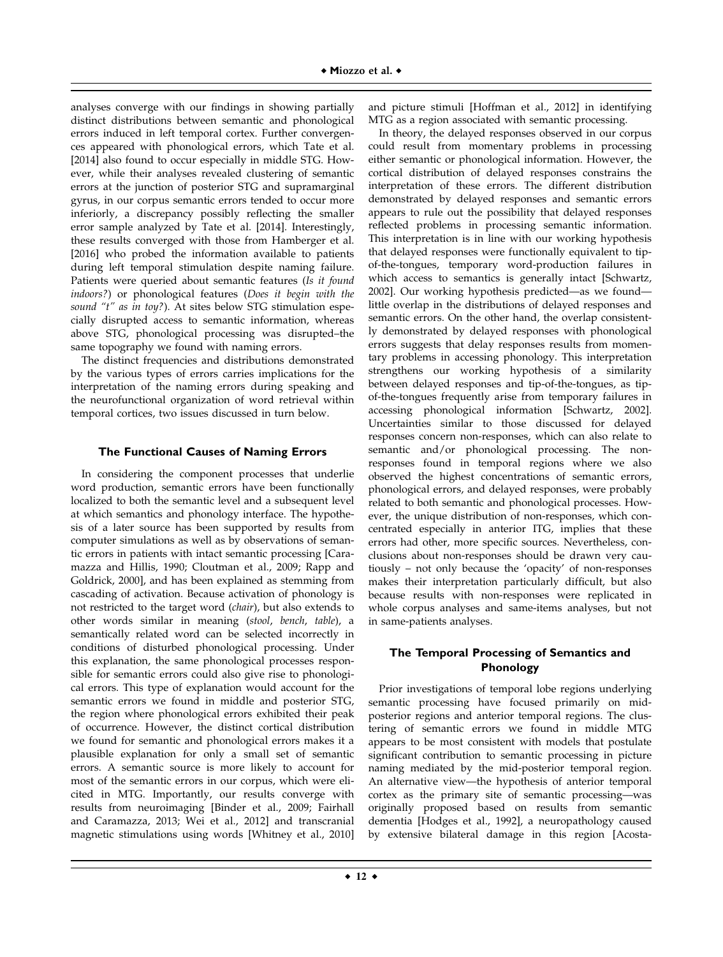analyses converge with our findings in showing partially distinct distributions between semantic and phonological errors induced in left temporal cortex. Further convergences appeared with phonological errors, which Tate et al. [2014] also found to occur especially in middle STG. However, while their analyses revealed clustering of semantic errors at the junction of posterior STG and supramarginal gyrus, in our corpus semantic errors tended to occur more inferiorly, a discrepancy possibly reflecting the smaller error sample analyzed by Tate et al. [2014]. Interestingly, these results converged with those from Hamberger et al. [2016] who probed the information available to patients during left temporal stimulation despite naming failure. Patients were queried about semantic features (Is it found indoors?) or phonological features (Does it begin with the sound "t" as in toy?). At sites below STG stimulation especially disrupted access to semantic information, whereas above STG, phonological processing was disrupted–the same topography we found with naming errors.

The distinct frequencies and distributions demonstrated by the various types of errors carries implications for the interpretation of the naming errors during speaking and the neurofunctional organization of word retrieval within temporal cortices, two issues discussed in turn below.

## **The Functional Causes of Naming Errors**

In considering the component processes that underlie word production, semantic errors have been functionally localized to both the semantic level and a subsequent level at which semantics and phonology interface. The hypothesis of a later source has been supported by results from computer simulations as well as by observations of semantic errors in patients with intact semantic processing [Caramazza and Hillis, 1990; Cloutman et al., 2009; Rapp and Goldrick, 2000], and has been explained as stemming from cascading of activation. Because activation of phonology is not restricted to the target word (chair), but also extends to other words similar in meaning (stool, bench, table), a semantically related word can be selected incorrectly in conditions of disturbed phonological processing. Under this explanation, the same phonological processes responsible for semantic errors could also give rise to phonological errors. This type of explanation would account for the semantic errors we found in middle and posterior STG, the region where phonological errors exhibited their peak of occurrence. However, the distinct cortical distribution we found for semantic and phonological errors makes it a plausible explanation for only a small set of semantic errors. A semantic source is more likely to account for most of the semantic errors in our corpus, which were elicited in MTG. Importantly, our results converge with results from neuroimaging [Binder et al., 2009; Fairhall and Caramazza, 2013; Wei et al., 2012] and transcranial magnetic stimulations using words [Whitney et al., 2010]

and picture stimuli [Hoffman et al., 2012] in identifying MTG as a region associated with semantic processing.

In theory, the delayed responses observed in our corpus could result from momentary problems in processing either semantic or phonological information. However, the cortical distribution of delayed responses constrains the interpretation of these errors. The different distribution demonstrated by delayed responses and semantic errors appears to rule out the possibility that delayed responses reflected problems in processing semantic information. This interpretation is in line with our working hypothesis that delayed responses were functionally equivalent to tipof-the-tongues, temporary word-production failures in which access to semantics is generally intact [Schwartz, 2002]. Our working hypothesis predicted—as we found little overlap in the distributions of delayed responses and semantic errors. On the other hand, the overlap consistently demonstrated by delayed responses with phonological errors suggests that delay responses results from momentary problems in accessing phonology. This interpretation strengthens our working hypothesis of a similarity between delayed responses and tip-of-the-tongues, as tipof-the-tongues frequently arise from temporary failures in accessing phonological information [Schwartz, 2002]. Uncertainties similar to those discussed for delayed responses concern non-responses, which can also relate to semantic and/or phonological processing. The nonresponses found in temporal regions where we also observed the highest concentrations of semantic errors, phonological errors, and delayed responses, were probably related to both semantic and phonological processes. However, the unique distribution of non-responses, which concentrated especially in anterior ITG, implies that these errors had other, more specific sources. Nevertheless, conclusions about non-responses should be drawn very cautiously – not only because the 'opacity' of non-responses makes their interpretation particularly difficult, but also because results with non-responses were replicated in whole corpus analyses and same-items analyses, but not in same-patients analyses.

# **The Temporal Processing of Semantics and Phonology**

Prior investigations of temporal lobe regions underlying semantic processing have focused primarily on midposterior regions and anterior temporal regions. The clustering of semantic errors we found in middle MTG appears to be most consistent with models that postulate significant contribution to semantic processing in picture naming mediated by the mid-posterior temporal region. An alternative view—the hypothesis of anterior temporal cortex as the primary site of semantic processing—was originally proposed based on results from semantic dementia [Hodges et al., 1992], a neuropathology caused by extensive bilateral damage in this region [Acosta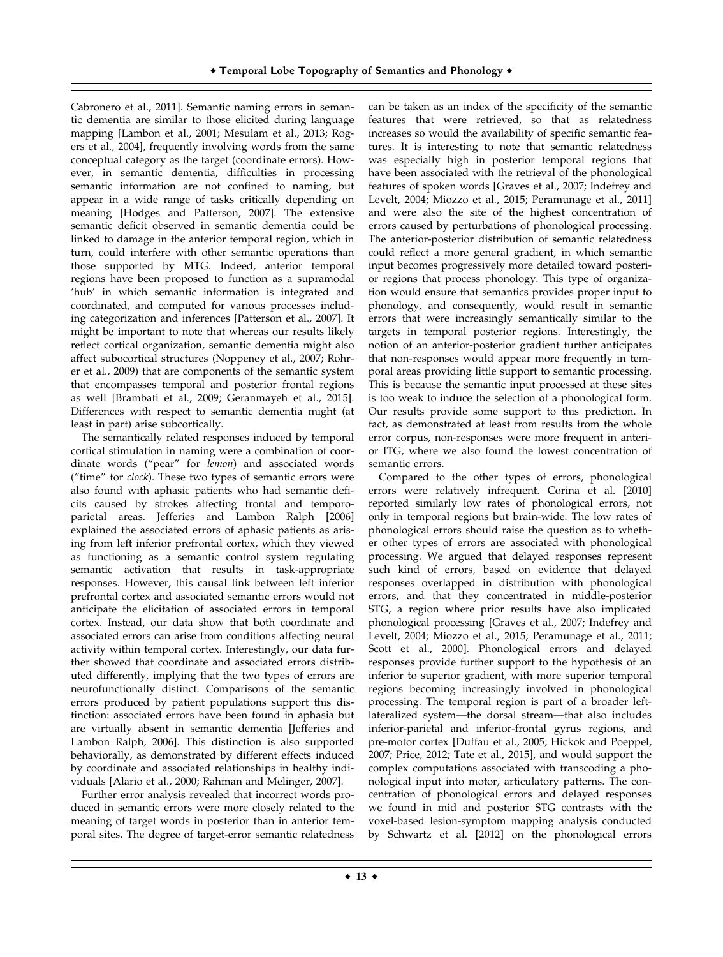Cabronero et al., 2011]. Semantic naming errors in semantic dementia are similar to those elicited during language mapping [Lambon et al., 2001; Mesulam et al., 2013; Rogers et al., 2004], frequently involving words from the same conceptual category as the target (coordinate errors). However, in semantic dementia, difficulties in processing semantic information are not confined to naming, but appear in a wide range of tasks critically depending on meaning [Hodges and Patterson, 2007]. The extensive semantic deficit observed in semantic dementia could be linked to damage in the anterior temporal region, which in turn, could interfere with other semantic operations than those supported by MTG. Indeed, anterior temporal regions have been proposed to function as a supramodal 'hub' in which semantic information is integrated and coordinated, and computed for various processes including categorization and inferences [Patterson et al., 2007]. It might be important to note that whereas our results likely reflect cortical organization, semantic dementia might also affect subocortical structures (Noppeney et al., 2007; Rohrer et al., 2009) that are components of the semantic system that encompasses temporal and posterior frontal regions as well [Brambati et al., 2009; Geranmayeh et al., 2015]. Differences with respect to semantic dementia might (at least in part) arise subcortically.

The semantically related responses induced by temporal cortical stimulation in naming were a combination of coordinate words ("pear" for lemon) and associated words ("time" for clock). These two types of semantic errors were also found with aphasic patients who had semantic deficits caused by strokes affecting frontal and temporoparietal areas. Jefferies and Lambon Ralph [2006] explained the associated errors of aphasic patients as arising from left inferior prefrontal cortex, which they viewed as functioning as a semantic control system regulating semantic activation that results in task-appropriate responses. However, this causal link between left inferior prefrontal cortex and associated semantic errors would not anticipate the elicitation of associated errors in temporal cortex. Instead, our data show that both coordinate and associated errors can arise from conditions affecting neural activity within temporal cortex. Interestingly, our data further showed that coordinate and associated errors distributed differently, implying that the two types of errors are neurofunctionally distinct. Comparisons of the semantic errors produced by patient populations support this distinction: associated errors have been found in aphasia but are virtually absent in semantic dementia [Jefferies and Lambon Ralph, 2006]. This distinction is also supported behaviorally, as demonstrated by different effects induced by coordinate and associated relationships in healthy individuals [Alario et al., 2000; Rahman and Melinger, 2007].

Further error analysis revealed that incorrect words produced in semantic errors were more closely related to the meaning of target words in posterior than in anterior temporal sites. The degree of target-error semantic relatedness can be taken as an index of the specificity of the semantic features that were retrieved, so that as relatedness increases so would the availability of specific semantic features. It is interesting to note that semantic relatedness was especially high in posterior temporal regions that have been associated with the retrieval of the phonological features of spoken words [Graves et al., 2007; Indefrey and Levelt, 2004; Miozzo et al., 2015; Peramunage et al., 2011] and were also the site of the highest concentration of errors caused by perturbations of phonological processing. The anterior-posterior distribution of semantic relatedness could reflect a more general gradient, in which semantic input becomes progressively more detailed toward posterior regions that process phonology. This type of organization would ensure that semantics provides proper input to phonology, and consequently, would result in semantic errors that were increasingly semantically similar to the targets in temporal posterior regions. Interestingly, the notion of an anterior-posterior gradient further anticipates that non-responses would appear more frequently in temporal areas providing little support to semantic processing. This is because the semantic input processed at these sites is too weak to induce the selection of a phonological form. Our results provide some support to this prediction. In fact, as demonstrated at least from results from the whole error corpus, non-responses were more frequent in anterior ITG, where we also found the lowest concentration of semantic errors.

Compared to the other types of errors, phonological errors were relatively infrequent. Corina et al. [2010] reported similarly low rates of phonological errors, not only in temporal regions but brain-wide. The low rates of phonological errors should raise the question as to whether other types of errors are associated with phonological processing. We argued that delayed responses represent such kind of errors, based on evidence that delayed responses overlapped in distribution with phonological errors, and that they concentrated in middle-posterior STG, a region where prior results have also implicated phonological processing [Graves et al., 2007; Indefrey and Levelt, 2004; Miozzo et al., 2015; Peramunage et al., 2011; Scott et al., 2000]. Phonological errors and delayed responses provide further support to the hypothesis of an inferior to superior gradient, with more superior temporal regions becoming increasingly involved in phonological processing. The temporal region is part of a broader leftlateralized system—the dorsal stream—that also includes inferior-parietal and inferior-frontal gyrus regions, and pre-motor cortex [Duffau et al., 2005; Hickok and Poeppel, 2007; Price, 2012; Tate et al., 2015], and would support the complex computations associated with transcoding a phonological input into motor, articulatory patterns. The concentration of phonological errors and delayed responses we found in mid and posterior STG contrasts with the voxel-based lesion-symptom mapping analysis conducted by Schwartz et al. [2012] on the phonological errors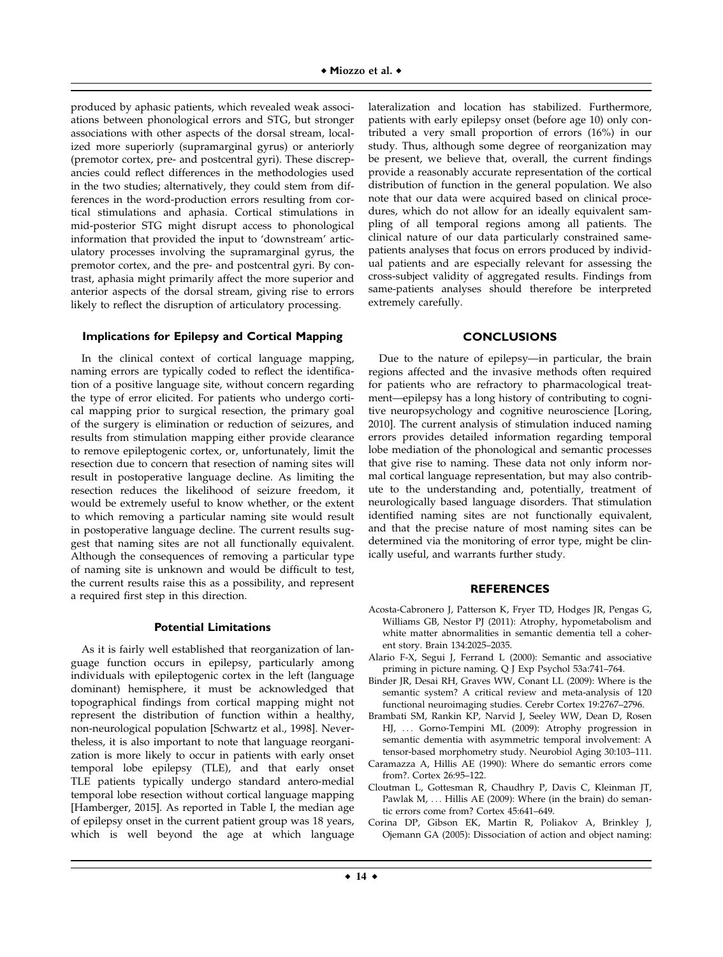produced by aphasic patients, which revealed weak associations between phonological errors and STG, but stronger associations with other aspects of the dorsal stream, localized more superiorly (supramarginal gyrus) or anteriorly (premotor cortex, pre- and postcentral gyri). These discrepancies could reflect differences in the methodologies used in the two studies; alternatively, they could stem from differences in the word-production errors resulting from cortical stimulations and aphasia. Cortical stimulations in mid-posterior STG might disrupt access to phonological information that provided the input to 'downstream' articulatory processes involving the supramarginal gyrus, the premotor cortex, and the pre- and postcentral gyri. By contrast, aphasia might primarily affect the more superior and anterior aspects of the dorsal stream, giving rise to errors likely to reflect the disruption of articulatory processing.

# **Implications for Epilepsy and Cortical Mapping**

In the clinical context of cortical language mapping, naming errors are typically coded to reflect the identification of a positive language site, without concern regarding the type of error elicited. For patients who undergo cortical mapping prior to surgical resection, the primary goal of the surgery is elimination or reduction of seizures, and results from stimulation mapping either provide clearance to remove epileptogenic cortex, or, unfortunately, limit the resection due to concern that resection of naming sites will result in postoperative language decline. As limiting the resection reduces the likelihood of seizure freedom, it would be extremely useful to know whether, or the extent to which removing a particular naming site would result in postoperative language decline. The current results suggest that naming sites are not all functionally equivalent. Although the consequences of removing a particular type of naming site is unknown and would be difficult to test, the current results raise this as a possibility, and represent a required first step in this direction.

#### **Potential Limitations**

As it is fairly well established that reorganization of language function occurs in epilepsy, particularly among individuals with epileptogenic cortex in the left (language dominant) hemisphere, it must be acknowledged that topographical findings from cortical mapping might not represent the distribution of function within a healthy, non-neurological population [Schwartz et al., 1998]. Nevertheless, it is also important to note that language reorganization is more likely to occur in patients with early onset temporal lobe epilepsy (TLE), and that early onset TLE patients typically undergo standard antero-medial temporal lobe resection without cortical language mapping [Hamberger, 2015]. As reported in Table I, the median age of epilepsy onset in the current patient group was 18 years, which is well beyond the age at which language

lateralization and location has stabilized. Furthermore, patients with early epilepsy onset (before age 10) only contributed a very small proportion of errors (16%) in our study. Thus, although some degree of reorganization may be present, we believe that, overall, the current findings provide a reasonably accurate representation of the cortical distribution of function in the general population. We also note that our data were acquired based on clinical procedures, which do not allow for an ideally equivalent sampling of all temporal regions among all patients. The clinical nature of our data particularly constrained samepatients analyses that focus on errors produced by individual patients and are especially relevant for assessing the cross-subject validity of aggregated results. Findings from same-patients analyses should therefore be interpreted extremely carefully.

#### **CONCLUSIONS**

Due to the nature of epilepsy—in particular, the brain regions affected and the invasive methods often required for patients who are refractory to pharmacological treatment—epilepsy has a long history of contributing to cognitive neuropsychology and cognitive neuroscience [Loring, 2010]. The current analysis of stimulation induced naming errors provides detailed information regarding temporal lobe mediation of the phonological and semantic processes that give rise to naming. These data not only inform normal cortical language representation, but may also contribute to the understanding and, potentially, treatment of neurologically based language disorders. That stimulation identified naming sites are not functionally equivalent, and that the precise nature of most naming sites can be determined via the monitoring of error type, might be clinically useful, and warrants further study.

# **REFERENCES**

- Acosta-Cabronero J, Patterson K, Fryer TD, Hodges JR, Pengas G, Williams GB, Nestor PJ (2011): Atrophy, hypometabolism and white matter abnormalities in semantic dementia tell a coherent story. Brain 134:2025–2035.
- Alario F-X, Segui J, Ferrand L (2000): Semantic and associative priming in picture naming. Q J Exp Psychol 53a:741–764.
- Binder JR, Desai RH, Graves WW, Conant LL (2009): Where is the semantic system? A critical review and meta-analysis of 120 functional neuroimaging studies. Cerebr Cortex 19:2767–2796.
- Brambati SM, Rankin KP, Narvid J, Seeley WW, Dean D, Rosen HJ, ... Gorno-Tempini ML (2009): Atrophy progression in semantic dementia with asymmetric temporal involvement: A tensor-based morphometry study. Neurobiol Aging 30:103–111.
- Caramazza A, Hillis AE (1990): Where do semantic errors come from?. Cortex 26:95–122.
- Cloutman L, Gottesman R, Chaudhry P, Davis C, Kleinman JT, Pawlak M, ... Hillis AE (2009): Where (in the brain) do semantic errors come from? Cortex 45:641–649.
- Corina DP, Gibson EK, Martin R, Poliakov A, Brinkley J, Ojemann GA (2005): Dissociation of action and object naming: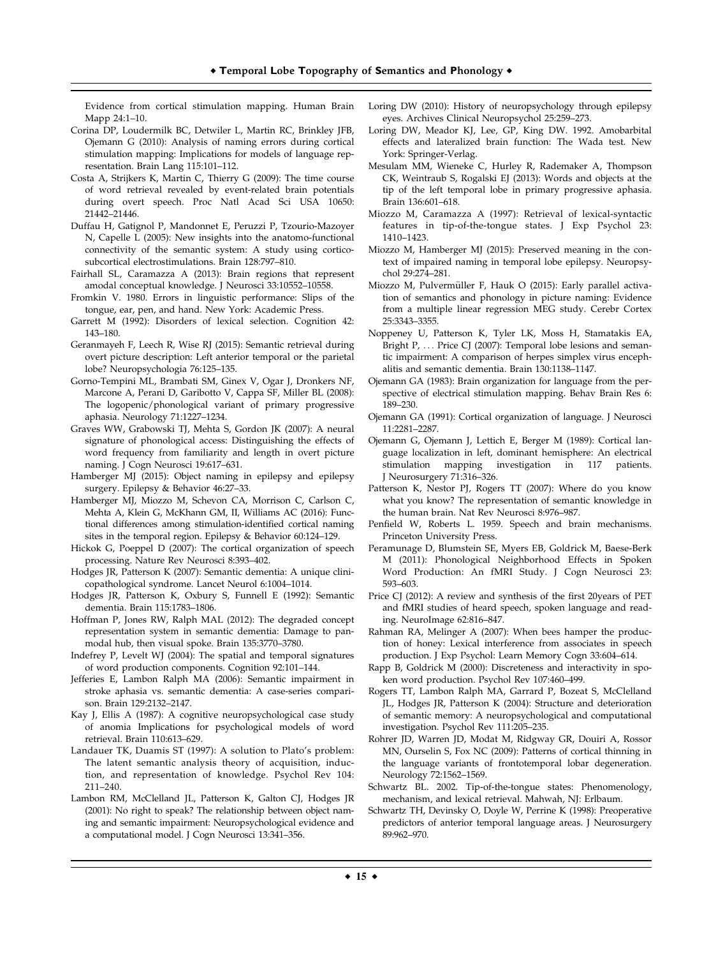Evidence from cortical stimulation mapping. Human Brain Mapp 24:1–10.

- Corina DP, Loudermilk BC, Detwiler L, Martin RC, Brinkley JFB, Ojemann G (2010): Analysis of naming errors during cortical stimulation mapping: Implications for models of language representation. Brain Lang 115:101–112.
- Costa A, Strijkers K, Martin C, Thierry G (2009): The time course of word retrieval revealed by event-related brain potentials during overt speech. Proc Natl Acad Sci USA 10650: 21442–21446.
- Duffau H, Gatignol P, Mandonnet E, Peruzzi P, Tzourio-Mazoyer N, Capelle L (2005): New insights into the anatomo-functional connectivity of the semantic system: A study using corticosubcortical electrostimulations. Brain 128:797–810.
- Fairhall SL, Caramazza A (2013): Brain regions that represent amodal conceptual knowledge. J Neurosci 33:10552–10558.
- Fromkin V. 1980. Errors in linguistic performance: Slips of the tongue, ear, pen, and hand. New York: Academic Press.
- Garrett M (1992): Disorders of lexical selection. Cognition 42: 143–180.
- Geranmayeh F, Leech R, Wise RJ (2015): Semantic retrieval during overt picture description: Left anterior temporal or the parietal lobe? Neuropsychologia 76:125–135.
- Gorno-Tempini ML, Brambati SM, Ginex V, Ogar J, Dronkers NF, Marcone A, Perani D, Garibotto V, Cappa SF, Miller BL (2008): The logopenic/phonological variant of primary progressive aphasia. Neurology 71:1227–1234.
- Graves WW, Grabowski TJ, Mehta S, Gordon JK (2007): A neural signature of phonological access: Distinguishing the effects of word frequency from familiarity and length in overt picture naming. J Cogn Neurosci 19:617–631.
- Hamberger MJ (2015): Object naming in epilepsy and epilepsy surgery. Epilepsy & Behavior 46:27–33.
- Hamberger MJ, Miozzo M, Schevon CA, Morrison C, Carlson C, Mehta A, Klein G, McKhann GM, II, Williams AC (2016): Functional differences among stimulation-identified cortical naming sites in the temporal region. Epilepsy & Behavior 60:124–129.
- Hickok G, Poeppel D (2007): The cortical organization of speech processing. Nature Rev Neurosci 8:393–402.
- Hodges JR, Patterson K (2007): Semantic dementia: A unique clinicopathological syndrome. Lancet Neurol 6:1004–1014.
- Hodges JR, Patterson K, Oxbury S, Funnell E (1992): Semantic dementia. Brain 115:1783–1806.
- Hoffman P, Jones RW, Ralph MAL (2012): The degraded concept representation system in semantic dementia: Damage to panmodal hub, then visual spoke. Brain 135:3770–3780.
- Indefrey P, Levelt WJ (2004): The spatial and temporal signatures of word production components. Cognition 92:101–144.
- Jefferies E, Lambon Ralph MA (2006): Semantic impairment in stroke aphasia vs. semantic dementia: A case-series comparison. Brain 129:2132–2147.
- Kay J, Ellis A (1987): A cognitive neuropsychological case study of anomia Implications for psychological models of word retrieval. Brain 110:613–629.
- Landauer TK, Duamis ST (1997): A solution to Plato's problem: The latent semantic analysis theory of acquisition, induction, and representation of knowledge. Psychol Rev 104: 211–240.
- Lambon RM, McClelland JL, Patterson K, Galton CJ, Hodges JR (2001): No right to speak? The relationship between object naming and semantic impairment: Neuropsychological evidence and a computational model. J Cogn Neurosci 13:341–356.
- Loring DW (2010): History of neuropsychology through epilepsy eyes. Archives Clinical Neuropsychol 25:259–273.
- Loring DW, Meador KJ, Lee, GP, King DW. 1992. Amobarbital effects and lateralized brain function: The Wada test. New York: Springer-Verlag.
- Mesulam MM, Wieneke C, Hurley R, Rademaker A, Thompson CK, Weintraub S, Rogalski EJ (2013): Words and objects at the tip of the left temporal lobe in primary progressive aphasia. Brain 136:601–618.
- Miozzo M, Caramazza A (1997): Retrieval of lexical-syntactic features in tip-of-the-tongue states. J Exp Psychol 23: 1410–1423.
- Miozzo M, Hamberger MJ (2015): Preserved meaning in the context of impaired naming in temporal lobe epilepsy. Neuropsychol 29:274–281.
- Miozzo M, Pulvermüller F, Hauk O (2015): Early parallel activation of semantics and phonology in picture naming: Evidence from a multiple linear regression MEG study. Cerebr Cortex 25:3343–3355.
- Noppeney U, Patterson K, Tyler LK, Moss H, Stamatakis EA, Bright P, ... Price CJ (2007): Temporal lobe lesions and semantic impairment: A comparison of herpes simplex virus encephalitis and semantic dementia. Brain 130:1138–1147.
- Ojemann GA (1983): Brain organization for language from the perspective of electrical stimulation mapping. Behav Brain Res 6: 189–230.
- Ojemann GA (1991): Cortical organization of language. J Neurosci 11:2281–2287.
- Ojemann G, Ojemann J, Lettich E, Berger M (1989): Cortical language localization in left, dominant hemisphere: An electrical stimulation mapping investigation in 117 patients. J Neurosurgery 71:316–326.
- Patterson K, Nestor PJ, Rogers TT (2007): Where do you know what you know? The representation of semantic knowledge in the human brain. Nat Rev Neurosci 8:976–987.
- Penfield W, Roberts L. 1959. Speech and brain mechanisms. Princeton University Press.
- Peramunage D, Blumstein SE, Myers EB, Goldrick M, Baese-Berk M (2011): Phonological Neighborhood Effects in Spoken Word Production: An fMRI Study. J Cogn Neurosci 23: 593–603.
- Price CJ (2012): A review and synthesis of the first 20years of PET and fMRI studies of heard speech, spoken language and reading. NeuroImage 62:816–847.
- Rahman RA, Melinger A (2007): When bees hamper the production of honey: Lexical interference from associates in speech production. J Exp Psychol: Learn Memory Cogn 33:604–614.
- Rapp B, Goldrick M (2000): Discreteness and interactivity in spoken word production. Psychol Rev 107:460–499.
- Rogers TT, Lambon Ralph MA, Garrard P, Bozeat S, McClelland JL, Hodges JR, Patterson K (2004): Structure and deterioration of semantic memory: A neuropsychological and computational investigation. Psychol Rev 111:205–235.
- Rohrer JD, Warren JD, Modat M, Ridgway GR, Douiri A, Rossor MN, Ourselin S, Fox NC (2009): Patterns of cortical thinning in the language variants of frontotemporal lobar degeneration. Neurology 72:1562–1569.
- Schwartz BL. 2002. Tip-of-the-tongue states: Phenomenology, mechanism, and lexical retrieval. Mahwah, NJ: Erlbaum.
- Schwartz TH, Devinsky O, Doyle W, Perrine K (1998): Preoperative predictors of anterior temporal language areas. J Neurosurgery 89:962–970.